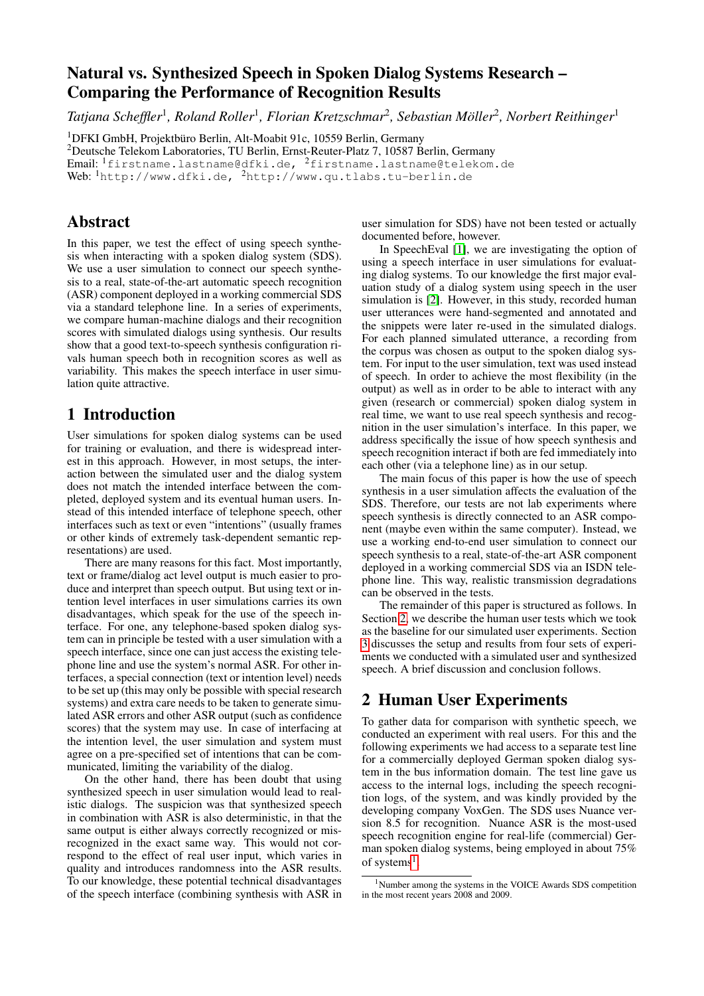# <span id="page-0-2"></span>Natural vs. Synthesized Speech in Spoken Dialog Systems Research – Comparing the Performance of Recognition Results

*Tatjana Scheffler*<sup>1</sup> *, Roland Roller*<sup>1</sup> *, Florian Kretzschmar*<sup>2</sup> *, Sebastian Möller*<sup>2</sup> *, Norbert Reithinger*<sup>1</sup>

<sup>1</sup>DFKI GmbH, Projektbüro Berlin, Alt-Moabit 91c, 10559 Berlin, Germany

<sup>2</sup>Deutsche Telekom Laboratories, TU Berlin, Ernst-Reuter-Platz 7, 10587 Berlin, Germany

Email: <sup>1</sup>firstname.lastname@dfki.de, <sup>2</sup>firstname.lastname@telekom.de

Web:  $\frac{1}{h}$ http://www.dfki.de,  $\frac{2}{h}$ http://www.qu.tlabs.tu-berlin.de

### Abstract

In this paper, we test the effect of using speech synthesis when interacting with a spoken dialog system (SDS). We use a user simulation to connect our speech synthesis to a real, state-of-the-art automatic speech recognition (ASR) component deployed in a working commercial SDS via a standard telephone line. In a series of experiments, we compare human-machine dialogs and their recognition scores with simulated dialogs using synthesis. Our results show that a good text-to-speech synthesis configuration rivals human speech both in recognition scores as well as variability. This makes the speech interface in user simulation quite attractive.

# 1 Introduction

User simulations for spoken dialog systems can be used for training or evaluation, and there is widespread interest in this approach. However, in most setups, the interaction between the simulated user and the dialog system does not match the intended interface between the completed, deployed system and its eventual human users. Instead of this intended interface of telephone speech, other interfaces such as text or even "intentions" (usually frames or other kinds of extremely task-dependent semantic representations) are used.

There are many reasons for this fact. Most importantly, text or frame/dialog act level output is much easier to produce and interpret than speech output. But using text or intention level interfaces in user simulations carries its own disadvantages, which speak for the use of the speech interface. For one, any telephone-based spoken dialog system can in principle be tested with a user simulation with a speech interface, since one can just access the existing telephone line and use the system's normal ASR. For other interfaces, a special connection (text or intention level) needs to be set up (this may only be possible with special research systems) and extra care needs to be taken to generate simulated ASR errors and other ASR output (such as confidence scores) that the system may use. In case of interfacing at the intention level, the user simulation and system must agree on a pre-specified set of intentions that can be communicated, limiting the variability of the dialog.

On the other hand, there has been doubt that using synthesized speech in user simulation would lead to realistic dialogs. The suspicion was that synthesized speech in combination with ASR is also deterministic, in that the same output is either always correctly recognized or misrecognized in the exact same way. This would not correspond to the effect of real user input, which varies in quality and introduces randomness into the ASR results. To our knowledge, these potential technical disadvantages of the speech interface (combining synthesis with ASR in

user simulation for SDS) have not been tested or actually documented before, however.

In SpeechEval [\[1\]](#page-3-0), we are investigating the option of using a speech interface in user simulations for evaluating dialog systems. To our knowledge the first major evaluation study of a dialog system using speech in the user simulation is [\[2\]](#page-3-1). However, in this study, recorded human user utterances were hand-segmented and annotated and the snippets were later re-used in the simulated dialogs. For each planned simulated utterance, a recording from the corpus was chosen as output to the spoken dialog system. For input to the user simulation, text was used instead of speech. In order to achieve the most flexibility (in the output) as well as in order to be able to interact with any given (research or commercial) spoken dialog system in real time, we want to use real speech synthesis and recognition in the user simulation's interface. In this paper, we address specifically the issue of how speech synthesis and speech recognition interact if both are fed immediately into each other (via a telephone line) as in our setup.

The main focus of this paper is how the use of speech synthesis in a user simulation affects the evaluation of the SDS. Therefore, our tests are not lab experiments where speech synthesis is directly connected to an ASR component (maybe even within the same computer). Instead, we use a working end-to-end user simulation to connect our speech synthesis to a real, state-of-the-art ASR component deployed in a working commercial SDS via an ISDN telephone line. This way, realistic transmission degradations can be observed in the tests.

The remainder of this paper is structured as follows. In Section [2,](#page-0-0) we describe the human user tests which we took as the baseline for our simulated user experiments. Section [3](#page-1-0) discusses the setup and results from four sets of experiments we conducted with a simulated user and synthesized speech. A brief discussion and conclusion follows.

# <span id="page-0-0"></span>2 Human User Experiments

To gather data for comparison with synthetic speech, we conducted an experiment with real users. For this and the following experiments we had access to a separate test line for a commercially deployed German spoken dialog system in the bus information domain. The test line gave us access to the internal logs, including the speech recognition logs, of the system, and was kindly provided by the developing company VoxGen. The SDS uses Nuance version 8.5 for recognition. Nuance ASR is the most-used speech recognition engine for real-life (commercial) German spoken dialog systems, being employed in about 75% of systems<sup>[1](#page-0-1)</sup>.

<span id="page-0-1"></span><sup>1</sup>Number among the systems in the VOICE Awards SDS competition in the most recent years 2008 and 2009.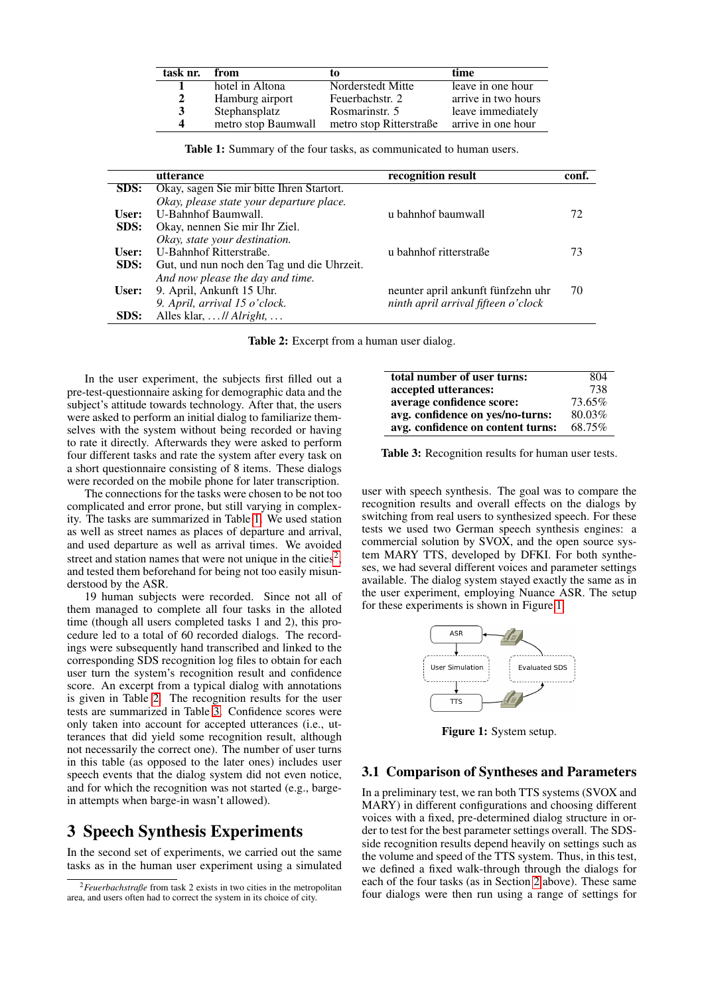| task nr. | from                | tо                      | time                |
|----------|---------------------|-------------------------|---------------------|
|          | hotel in Altona     | Norderstedt Mitte       | leave in one hour   |
| 2        | Hamburg airport     | Feuerbachstr. 2         | arrive in two hours |
| 3        | Stephansplatz       | Rosmarinstr. 5          | leave immediately   |
| $\Delta$ | metro stop Baumwall | metro stop Ritterstraße | arrive in one hour  |

<span id="page-1-1"></span>Table 1: Summary of the four tasks, as communicated to human users.

|       | utterance                                  | recognition result                  | conf. |
|-------|--------------------------------------------|-------------------------------------|-------|
| SDS:  | Okay, sagen Sie mir bitte Ihren Startort.  |                                     |       |
|       | Okay, please state your departure place.   |                                     |       |
| User: | U-Bahnhof Baumwall.                        | u bahnhof baumwall                  | 72.   |
| SDS:  | Okay, nennen Sie mir Ihr Ziel.             |                                     |       |
|       | Okay, state your destination.              |                                     |       |
| User: | U-Bahnhof Ritterstraße.                    | u bahnhof ritterstraße              | 73    |
| SDS:  | Gut, und nun noch den Tag und die Uhrzeit. |                                     |       |
|       | And now please the day and time.           |                                     |       |
| User: | 9. April, Ankunft 15 Uhr.                  | neunter april ankunft fünfzehn uhr  | 70    |
|       | 9. April, arrival 15 o'clock.              | ninth april arrival fifteen o'clock |       |
| SDS:  | Alles klar, $\ldots$ // Alright, $\ldots$  |                                     |       |

<span id="page-1-3"></span>Table 2: Excerpt from a human user dialog.

In the user experiment, the subjects first filled out a pre-test-questionnaire asking for demographic data and the subject's attitude towards technology. After that, the users were asked to perform an initial dialog to familiarize themselves with the system without being recorded or having to rate it directly. Afterwards they were asked to perform four different tasks and rate the system after every task on a short questionnaire consisting of 8 items. These dialogs were recorded on the mobile phone for later transcription.

The connections for the tasks were chosen to be not too complicated and error prone, but still varying in complexity. The tasks are summarized in Table [1.](#page-1-1) We used station as well as street names as places of departure and arrival, and used departure as well as arrival times. We avoided street and station names that were not unique in the cities<sup>[2](#page-1-2)</sup>, and tested them beforehand for being not too easily misunderstood by the ASR.

19 human subjects were recorded. Since not all of them managed to complete all four tasks in the alloted time (though all users completed tasks 1 and 2), this procedure led to a total of 60 recorded dialogs. The recordings were subsequently hand transcribed and linked to the corresponding SDS recognition log files to obtain for each user turn the system's recognition result and confidence score. An excerpt from a typical dialog with annotations is given in Table [2.](#page-1-3) The recognition results for the user tests are summarized in Table [3.](#page-1-4) Confidence scores were only taken into account for accepted utterances (i.e., utterances that did yield some recognition result, although not necessarily the correct one). The number of user turns in this table (as opposed to the later ones) includes user speech events that the dialog system did not even notice, and for which the recognition was not started (e.g., bargein attempts when barge-in wasn't allowed).

## <span id="page-1-0"></span>3 Speech Synthesis Experiments

In the second set of experiments, we carried out the same tasks as in the human user experiment using a simulated

| total number of user turns:       | 804    |
|-----------------------------------|--------|
| accepted utterances:              | 738    |
| average confidence score:         | 73.65% |
| avg. confidence on yes/no-turns:  | 80.03% |
| avg. confidence on content turns: | 68.75% |
|                                   |        |

<span id="page-1-4"></span>Table 3: Recognition results for human user tests.

user with speech synthesis. The goal was to compare the recognition results and overall effects on the dialogs by switching from real users to synthesized speech. For these tests we used two German speech synthesis engines: a commercial solution by SVOX, and the open source system MARY TTS, developed by DFKI. For both syntheses, we had several different voices and parameter settings available. The dialog system stayed exactly the same as in the user experiment, employing Nuance ASR. The setup for these experiments is shown in Figure [1.](#page-1-5)



<span id="page-1-5"></span>Figure 1: System setup.

#### 3.1 Comparison of Syntheses and Parameters

In a preliminary test, we ran both TTS systems (SVOX and MARY) in different configurations and choosing different voices with a fixed, pre-determined dialog structure in order to test for the best parameter settings overall. The SDSside recognition results depend heavily on settings such as the volume and speed of the TTS system. Thus, in this test, we defined a fixed walk-through through the dialogs for each of the four tasks (as in Section [2](#page-0-0) above). These same four dialogs were then run using a range of settings for

<span id="page-1-2"></span><sup>2</sup>*Feuerbachstraße* from task 2 exists in two cities in the metropolitan area, and users often had to correct the system in its choice of city.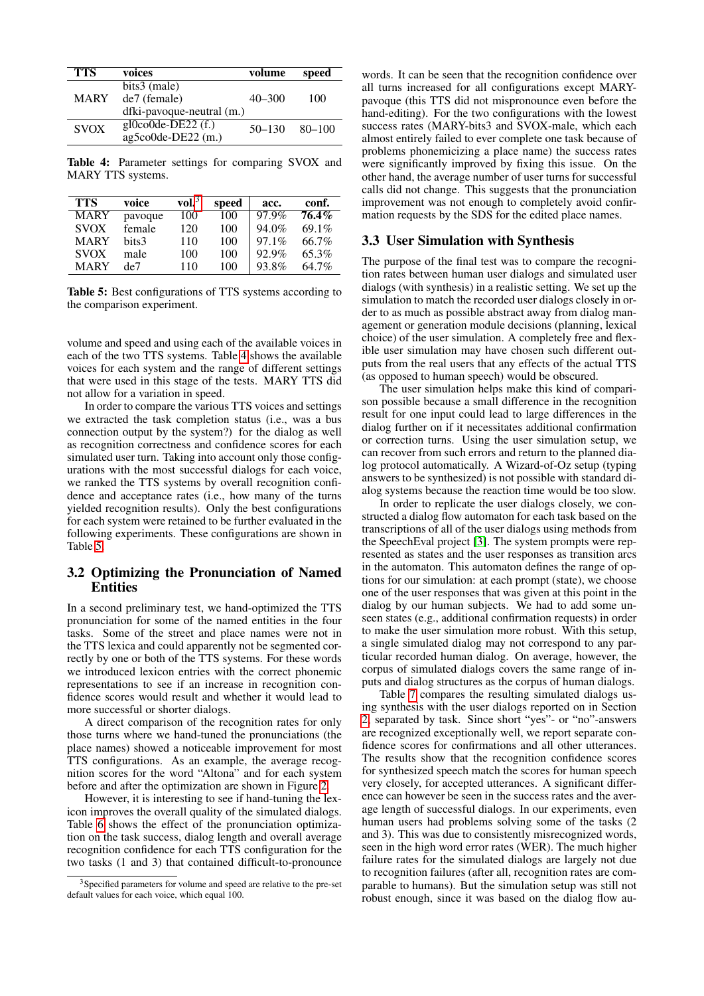| <b>TTS</b>  | voices                          | volume     | speed      |
|-------------|---------------------------------|------------|------------|
|             | bits3 (male)                    |            |            |
| <b>MARY</b> | de7 (female)                    | $40 - 300$ | 100        |
|             | dfki-pavoque-neutral (m.)       |            |            |
| <b>SVOX</b> | $g$ l $0$ co $0$ de-DE22 $(f.)$ | $50 - 130$ | $80 - 100$ |
|             | ag5co0de-DE22 (m.)              |            |            |

<span id="page-2-0"></span>Table 4: Parameter settings for comparing SVOX and MARY TTS systems.

| TTS         | voice   | vol. $^3$ | speed | acc.     | conf.    |
|-------------|---------|-----------|-------|----------|----------|
| <b>MARY</b> | pavoque | 100       | 100   | 97.9%    | $76.4\%$ |
| <b>SVOX</b> | female  | 120       | 100   | $94.0\%$ | 69.1%    |
| <b>MARY</b> | hits3   | 110       | 100   | $97.1\%$ | 66.7%    |
| <b>SVOX</b> | male    | 100       | 100   | 92.9%    | 65.3%    |
| <b>MARY</b> | de7     | 110       | 100   | 93.8%    | 64.7%    |

<span id="page-2-1"></span>Table 5: Best configurations of TTS systems according to the comparison experiment.

volume and speed and using each of the available voices in each of the two TTS systems. Table [4](#page-2-0) shows the available voices for each system and the range of different settings that were used in this stage of the tests. MARY TTS did not allow for a variation in speed.

In order to compare the various TTS voices and settings we extracted the task completion status (i.e., was a bus connection output by the system?) for the dialog as well as recognition correctness and confidence scores for each simulated user turn. Taking into account only those configurations with the most successful dialogs for each voice, we ranked the TTS systems by overall recognition confidence and acceptance rates (i.e., how many of the turns yielded recognition results). Only the best configurations for each system were retained to be further evaluated in the following experiments. These configurations are shown in Table [5.](#page-2-1)

#### 3.2 Optimizing the Pronunciation of Named **Entities**

In a second preliminary test, we hand-optimized the TTS pronunciation for some of the named entities in the four tasks. Some of the street and place names were not in the TTS lexica and could apparently not be segmented correctly by one or both of the TTS systems. For these words we introduced lexicon entries with the correct phonemic representations to see if an increase in recognition confidence scores would result and whether it would lead to more successful or shorter dialogs.

A direct comparison of the recognition rates for only those turns where we hand-tuned the pronunciations (the place names) showed a noticeable improvement for most TTS configurations. As an example, the average recognition scores for the word "Altona" and for each system before and after the optimization are shown in Figure [2.](#page-3-2)

However, it is interesting to see if hand-tuning the lexicon improves the overall quality of the simulated dialogs. Table [6](#page-3-3) shows the effect of the pronunciation optimization on the task success, dialog length and overall average recognition confidence for each TTS configuration for the two tasks (1 and 3) that contained difficult-to-pronounce

words. It can be seen that the recognition confidence over all turns increased for all configurations except MARYpavoque (this TTS did not mispronounce even before the hand-editing). For the two configurations with the lowest success rates (MARY-bits3 and SVOX-male, which each almost entirely failed to ever complete one task because of problems phonemicizing a place name) the success rates were significantly improved by fixing this issue. On the other hand, the average number of user turns for successful calls did not change. This suggests that the pronunciation improvement was not enough to completely avoid confirmation requests by the SDS for the edited place names.

#### 3.3 User Simulation with Synthesis

The purpose of the final test was to compare the recognition rates between human user dialogs and simulated user dialogs (with synthesis) in a realistic setting. We set up the simulation to match the recorded user dialogs closely in order to as much as possible abstract away from dialog management or generation module decisions (planning, lexical choice) of the user simulation. A completely free and flexible user simulation may have chosen such different outputs from the real users that any effects of the actual TTS (as opposed to human speech) would be obscured.

The user simulation helps make this kind of comparison possible because a small difference in the recognition result for one input could lead to large differences in the dialog further on if it necessitates additional confirmation or correction turns. Using the user simulation setup, we can recover from such errors and return to the planned dialog protocol automatically. A Wizard-of-Oz setup (typing answers to be synthesized) is not possible with standard dialog systems because the reaction time would be too slow.

In order to replicate the user dialogs closely, we constructed a dialog flow automaton for each task based on the transcriptions of all of the user dialogs using methods from the SpeechEval project [\[3\]](#page-3-4). The system prompts were represented as states and the user responses as transition arcs in the automaton. This automaton defines the range of options for our simulation: at each prompt (state), we choose one of the user responses that was given at this point in the dialog by our human subjects. We had to add some unseen states (e.g., additional confirmation requests) in order to make the user simulation more robust. With this setup, a single simulated dialog may not correspond to any particular recorded human dialog. On average, however, the corpus of simulated dialogs covers the same range of inputs and dialog structures as the corpus of human dialogs.

Table [7](#page-3-5) compares the resulting simulated dialogs using synthesis with the user dialogs reported on in Section [2,](#page-0-0) separated by task. Since short "yes"- or "no"-answers are recognized exceptionally well, we report separate confidence scores for confirmations and all other utterances. The results show that the recognition confidence scores for synthesized speech match the scores for human speech very closely, for accepted utterances. A significant difference can however be seen in the success rates and the average length of successful dialogs. In our experiments, even human users had problems solving some of the tasks (2 and 3). This was due to consistently misrecognized words, seen in the high word error rates (WER). The much higher failure rates for the simulated dialogs are largely not due to recognition failures (after all, recognition rates are comparable to humans). But the simulation setup was still not robust enough, since it was based on the dialog flow au-

<sup>&</sup>lt;sup>3</sup>Specified parameters for volume and speed are relative to the pre-set default values for each voice, which equal 100.